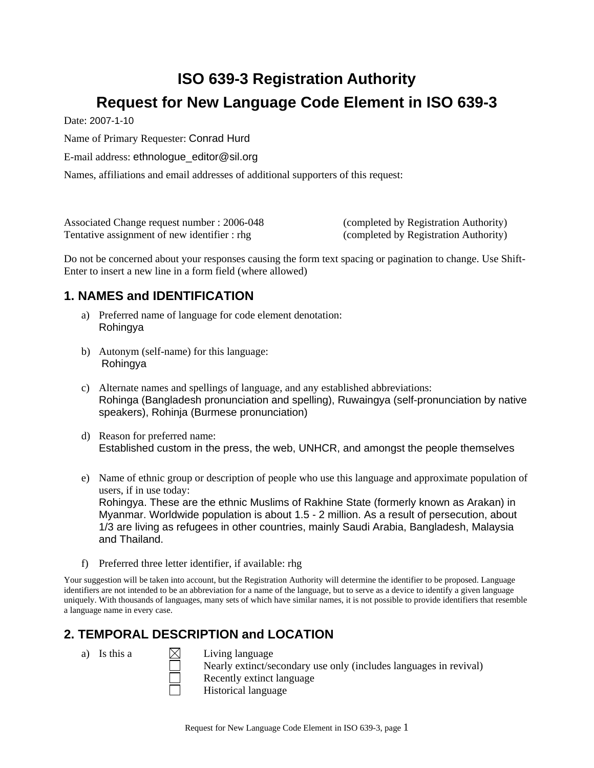# **ISO 639-3 Registration Authority Request for New Language Code Element in ISO 639-3**

Date: 2007-1-10

Name of Primary Requester: Conrad Hurd

E-mail address: ethnologue\_editor@sil.org

Names, affiliations and email addresses of additional supporters of this request:

Associated Change request number : 2006-048 (completed by Registration Authority) Tentative assignment of new identifier : rhg (completed by Registration Authority)

Do not be concerned about your responses causing the form text spacing or pagination to change. Use Shift-Enter to insert a new line in a form field (where allowed)

## **1. NAMES and IDENTIFICATION**

- a) Preferred name of language for code element denotation: Rohingya
- b) Autonym (self-name) for this language: Rohingya
- c) Alternate names and spellings of language, and any established abbreviations: Rohinga (Bangladesh pronunciation and spelling), Ruwaingya (self-pronunciation by native speakers), Rohinja (Burmese pronunciation)
- d) Reason for preferred name: Established custom in the press, the web, UNHCR, and amongst the people themselves
- e) Name of ethnic group or description of people who use this language and approximate population of users, if in use today: Rohingya. These are the ethnic Muslims of Rakhine State (formerly known as Arakan) in Myanmar. Worldwide population is about 1.5 - 2 million. As a result of persecution, about 1/3 are living as refugees in other countries, mainly Saudi Arabia, Bangladesh, Malaysia and Thailand.
- f) Preferred three letter identifier, if available: rhg

Your suggestion will be taken into account, but the Registration Authority will determine the identifier to be proposed. Language identifiers are not intended to be an abbreviation for a name of the language, but to serve as a device to identify a given language uniquely. With thousands of languages, many sets of which have similar names, it is not possible to provide identifiers that resemble a language name in every case.

## **2. TEMPORAL DESCRIPTION and LOCATION**

a) Is this a  $\bowtie$  Living language Nearly extinct/secondary use only (includes languages in revival) Recently extinct language Historical language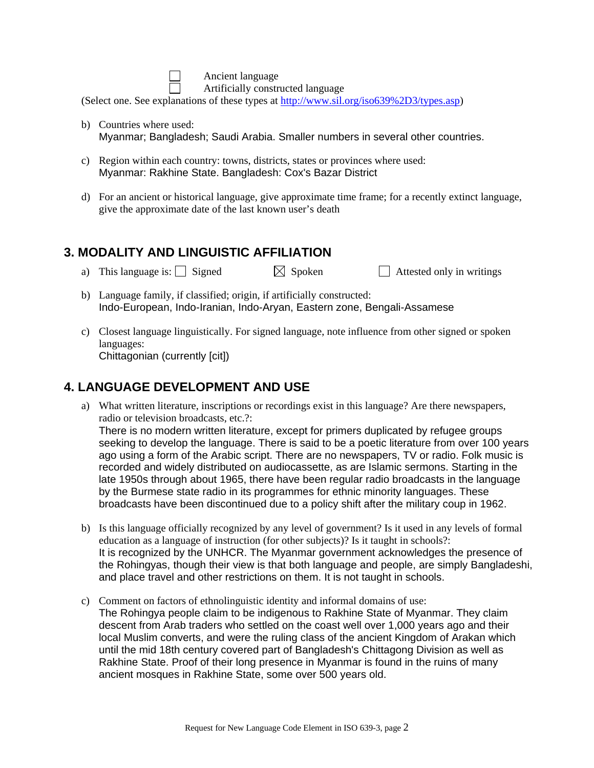Ancient language

Artificially constructed language

(Select one. See explanations of these types at [http://www.sil.org/iso639%2D3/types.asp](http://www.sil.org/iso639-3/types.asp))

- b) Countries where used: Myanmar; Bangladesh; Saudi Arabia. Smaller numbers in several other countries.
- c) Region within each country: towns, districts, states or provinces where used: Myanmar: Rakhine State. Bangladesh: Cox's Bazar District
- d) For an ancient or historical language, give approximate time frame; for a recently extinct language, give the approximate date of the last known user's death

#### **3. MODALITY AND LINGUISTIC AFFILIATION**

- a) This language is: Signed  $\boxtimes$  Spoken Attested only in writings
- b) Language family, if classified; origin, if artificially constructed: Indo-European, Indo-Iranian, Indo-Aryan, Eastern zone, Bengali-Assamese
- c) Closest language linguistically. For signed language, note influence from other signed or spoken languages: Chittagonian (currently [cit])

### **4. LANGUAGE DEVELOPMENT AND USE**

a) What written literature, inscriptions or recordings exist in this language? Are there newspapers, radio or television broadcasts, etc.?:

There is no modern written literature, except for primers duplicated by refugee groups seeking to develop the language. There is said to be a poetic literature from over 100 years ago using a form of the Arabic script. There are no newspapers, TV or radio. Folk music is recorded and widely distributed on audiocassette, as are Islamic sermons. Starting in the late 1950s through about 1965, there have been regular radio broadcasts in the language by the Burmese state radio in its programmes for ethnic minority languages. These broadcasts have been discontinued due to a policy shift after the military coup in 1962.

- b) Is this language officially recognized by any level of government? Is it used in any levels of formal education as a language of instruction (for other subjects)? Is it taught in schools?: It is recognized by the UNHCR. The Myanmar government acknowledges the presence of the Rohingyas, though their view is that both language and people, are simply Bangladeshi, and place travel and other restrictions on them. It is not taught in schools.
- c) Comment on factors of ethnolinguistic identity and informal domains of use: The Rohingya people claim to be indigenous to Rakhine State of Myanmar. They claim descent from Arab traders who settled on the coast well over 1,000 years ago and their local Muslim converts, and were the ruling class of the ancient Kingdom of Arakan which until the mid 18th century covered part of Bangladesh's Chittagong Division as well as Rakhine State. Proof of their long presence in Myanmar is found in the ruins of many ancient mosques in Rakhine State, some over 500 years old.